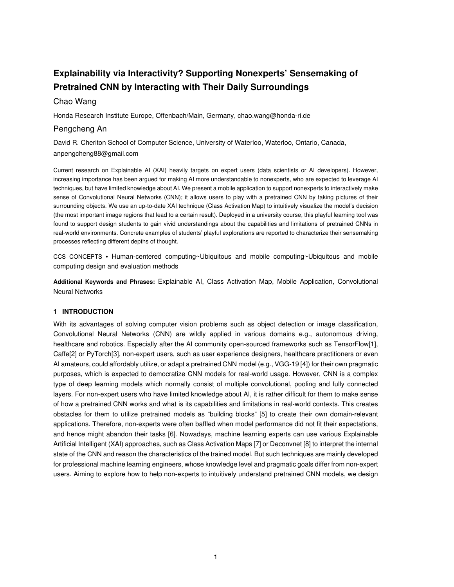# **Explainability via Interactivity? Supporting Nonexperts' Sensemaking of Pretrained CNN by Interacting with Their Daily Surroundings**

# Chao Wang

Honda Research Institute Europe, Offenbach/Main, Germany, chao.wang@honda-ri.de

# Pengcheng An

David R. Cheriton School of Computer Science, University of Waterloo, Waterloo, Ontario, Canada, anpengcheng88@gmail.com

Current research on Explainable AI (XAI) heavily targets on expert users (data scientists or AI developers). However, increasing importance has been argued for making AI more understandable to nonexperts, who are expected to leverage AI techniques, but have limited knowledge about AI. We present a mobile application to support nonexperts to interactively make sense of Convolutional Neural Networks (CNN); it allows users to play with a pretrained CNN by taking pictures of their surrounding objects. We use an up-to-date XAI technique (Class Activation Map) to intuitively visualize the model's decision (the most important image regions that lead to a certain result). Deployed in a university course, this playful learning tool was found to support design students to gain vivid understandings about the capabilities and limitations of pretrained CNNs in real-world environments. Concrete examples of students' playful explorations are reported to characterize their sensemaking processes reflecting different depths of thought.

CCS CONCEPTS **•** Human-centered computing~Ubiquitous and mobile computing~Ubiquitous and mobile computing design and evaluation methods

**Additional Keywords and Phrases:** Explainable AI, Class Activation Map, Mobile Application, Convolutional Neural Networks

# **1 INTRODUCTION**

With its advantages of solving computer vision problems such as object detection or image classification, Convolutional Neural Networks (CNN) are wildly applied in various domains e.g., autonomous driving, healthcare and robotics. Especially after the AI community open-sourced frameworks such as TensorFlow[1], Caffe[2] or PyTorch[3], non-expert users, such as user experience designers, healthcare practitioners or even AI amateurs, could affordably utilize, or adapt a pretrained CNN model (e.g., VGG-19 [4]) for their own pragmatic purposes, which is expected to democratize CNN models for real-world usage. However, CNN is a complex type of deep learning models which normally consist of multiple convolutional, pooling and fully connected layers. For non-expert users who have limited knowledge about AI, it is rather difficult for them to make sense of how a pretrained CNN works and what is its capabilities and limitations in real-world contexts. This creates obstacles for them to utilize pretrained models as "building blocks" [5] to create their own domain-relevant applications. Therefore, non-experts were often baffled when model performance did not fit their expectations, and hence might abandon their tasks [6]. Nowadays, machine learning experts can use various Explainable Artificial Intelligent (XAI) approaches, such as Class Activation Maps [7] or Deconvnet [8] to interpret the internal state of the CNN and reason the characteristics of the trained model. But such techniques are mainly developed for professional machine learning engineers, whose knowledge level and pragmatic goals differ from non-expert users. Aiming to explore how to help non-experts to intuitively understand pretrained CNN models, we design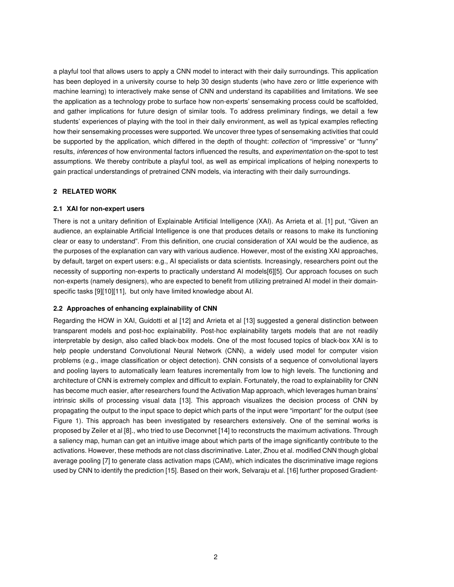a playful tool that allows users to apply a CNN model to interact with their daily surroundings. This application has been deployed in a university course to help 30 design students (who have zero or little experience with machine learning) to interactively make sense of CNN and understand its capabilities and limitations. We see the application as a technology probe to surface how non-experts' sensemaking process could be scaffolded, and gather implications for future design of similar tools. To address preliminary findings, we detail a few students' experiences of playing with the tool in their daily environment, as well as typical examples reflecting how their sensemaking processes were supported. We uncover three types of sensemaking activities that could be supported by the application, which differed in the depth of thought: *collection* of "impressive" or "funny" results, *inferences* of how environmental factors influenced the results, and *experimentation* on-the-spot to test assumptions. We thereby contribute a playful tool, as well as empirical implications of helping nonexperts to gain practical understandings of pretrained CNN models, via interacting with their daily surroundings.

# **2 RELATED WORK**

# **2.1 XAI for non-expert users**

There is not a unitary definition of Explainable Artificial Intelligence (XAI). As Arrieta et al. [1] put, "Given an audience, an explainable Artificial Intelligence is one that produces details or reasons to make its functioning clear or easy to understand". From this definition, one crucial consideration of XAI would be the audience, as the purposes of the explanation can vary with various audience. However, most of the existing XAI approaches, by default, target on expert users: e.g., AI specialists or data scientists. Increasingly, researchers point out the necessity of supporting non-experts to practically understand AI models[6][5]. Our approach focuses on such non-experts (namely designers), who are expected to benefit from utilizing pretrained AI model in their domainspecific tasks [9][10][11], but only have limited knowledge about AI.

# **2.2 Approaches of enhancing explainability of CNN**

Regarding the HOW in XAI, Guidotti et al [12] and Arrieta et al [13] suggested a general distinction between transparent models and post-hoc explainability. Post-hoc explainability targets models that are not readily interpretable by design, also called black-box models. One of the most focused topics of black-box XAI is to help people understand Convolutional Neural Network (CNN), a widely used model for computer vision problems (e.g., image classification or object detection). CNN consists of a sequence of convolutional layers and pooling layers to automatically learn features incrementally from low to high levels. The functioning and architecture of CNN is extremely complex and difficult to explain. Fortunately, the road to explainability for CNN has become much easier, after researchers found the Activation Map approach, which leverages human brains' intrinsic skills of processing visual data [13]. This approach visualizes the decision process of CNN by propagating the output to the input space to depict which parts of the input were "important" for the output (see Figure 1). This approach has been investigated by researchers extensively. One of the seminal works is proposed by Zeiler et al [8]., who tried to use Deconvnet [14] to reconstructs the maximum activations. Through a saliency map, human can get an intuitive image about which parts of the image significantly contribute to the activations. However, these methods are not class discriminative. Later, Zhou et al. modified CNN though global average pooling [7] to generate class activation maps (CAM), which indicates the discriminative image regions used by CNN to identify the prediction [15]. Based on their work, Selvaraju et al. [16] further proposed Gradient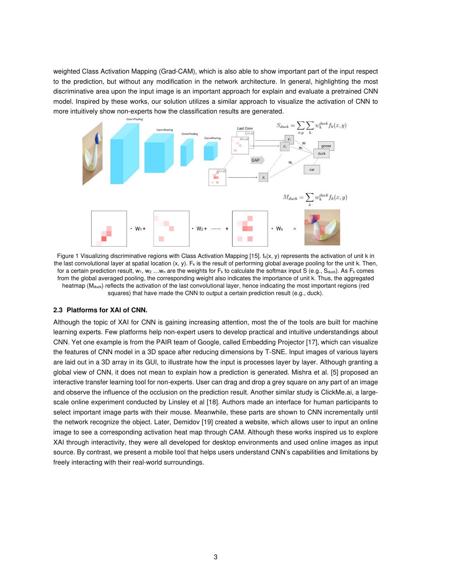weighted Class Activation Mapping (Grad-CAM), which is also able to show important part of the input respect to the prediction, but without any modification in the network architecture. In general, highlighting the most discriminative area upon the input image is an important approach for explain and evaluate a pretrained CNN model. Inspired by these works, our solution utilizes a similar approach to visualize the activation of CNN to more intuitively show non-experts how the classification results are generated.



Figure 1 Visualizing discriminative regions with Class Activation Mapping [15].  $f_k(x, y)$  represents the activation of unit k in the last convolutional layer at spatial location  $(x, y)$ . F<sub>k</sub> is the result of performing global average pooling for the unit k. Then, for a certain prediction result,  $w_1, w_2, ..., w_n$  are the weights for  $F_k$  to calculate the softmax input S (e.g., S<sub>duck</sub>). As  $F_k$  comes from the global averaged pooling, the corresponding weight also indicates the importance of unit k. Thus, the aggregated heatmap (M<sub>duck</sub>) reflects the activation of the last convolutional layer, hence indicating the most important regions (red squares) that have made the CNN to output a certain prediction result (e.g., duck).

# **2.3 Platforms for XAI of CNN.**

Although the topic of XAI for CNN is gaining increasing attention, most the of the tools are built for machine learning experts. Few platforms help non-expert users to develop practical and intuitive understandings about CNN. Yet one example is from the PAIR team of Google, called Embedding Projector [17], which can visualize the features of CNN model in a 3D space after reducing dimensions by T-SNE. Input images of various layers are laid out in a 3D array in its GUI, to illustrate how the input is processes layer by layer. Although granting a global view of CNN, it does not mean to explain how a prediction is generated. Mishra et al. [5] proposed an interactive transfer learning tool for non-experts. User can drag and drop a grey square on any part of an image and observe the influence of the occlusion on the prediction result. Another similar study is ClickMe.ai, a largescale online experiment conducted by Linsley et al [18]. Authors made an interface for human participants to select important image parts with their mouse. Meanwhile, these parts are shown to CNN incrementally until the network recognize the object. Later, Demidov [19] created a website, which allows user to input an online image to see a corresponding activation heat map through CAM. Although these works inspired us to explore XAI through interactivity, they were all developed for desktop environments and used online images as input source. By contrast, we present a mobile tool that helps users understand CNN's capabilities and limitations by freely interacting with their real-world surroundings.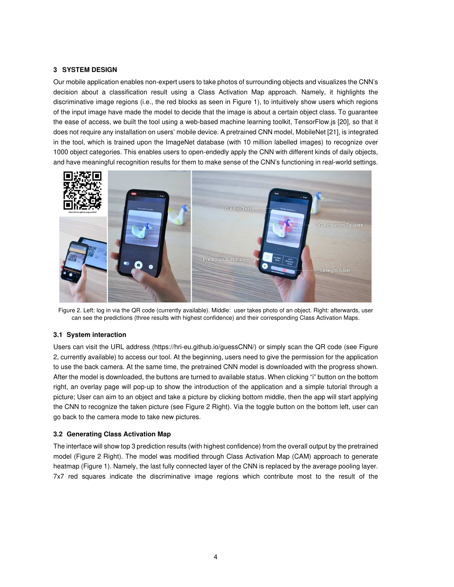# **3 SYSTEM DESIGN**

Our mobile application enables non-expert users to take photos of surrounding objects and visualizes the CNN's decision about a classification result using a Class Activation Map approach. Namely, it highlights the discriminative image regions (i.e., the red blocks as seen in Figure 1), to intuitively show users which regions of the input image have made the model to decide that the image is about a certain object class. To guarantee the ease of access, we built the tool using a web-based machine learning toolkit, TensorFlow.js [20], so that it does not require any installation on users' mobile device. A pretrained CNN model, MobileNet [21], is integrated in the tool, which is trained upon the ImageNet database (with 10 million labelled images) to recognize over 1000 object categories. This enables users to open-endedly apply the CNN with different kinds of daily objects, and have meaningful recognition results for them to make sense of the CNN's functioning in real-world settings.



Figure 2. Left: log in via the QR code (currently available). Middle: user takes photo of an object. Right: afterwards, user can see the predictions (three results with highest confidence) and their corresponding Class Activation Maps.

# **3.1 System interaction**

Users can visit the URL address (https://hri-eu.github.io/guessCNN/) or simply scan the QR code (see Figure 2, currently available) to access our tool. At the beginning, users need to give the permission for the application to use the back camera. At the same time, the pretrained CNN model is downloaded with the progress shown. After the model is downloaded, the buttons are turned to available status. When clicking "i" button on the bottom right, an overlay page will pop-up to show the introduction of the application and a simple tutorial through a picture; User can aim to an object and take a picture by clicking bottom middle, then the app will start applying the CNN to recognize the taken picture (see Figure 2 Right). Via the toggle button on the bottom left, user can go back to the camera mode to take new pictures.

# **3.2 Generating Class Activation Map**

The interface will show top 3 prediction results (with highest confidence) from the overall output by the pretrained model (Figure 2 Right). The model was modified through Class Activation Map (CAM) approach to generate heatmap (Figure 1). Namely, the last fully connected layer of the CNN is replaced by the average pooling layer. 7x7 red squares indicate the discriminative image regions which contribute most to the result of the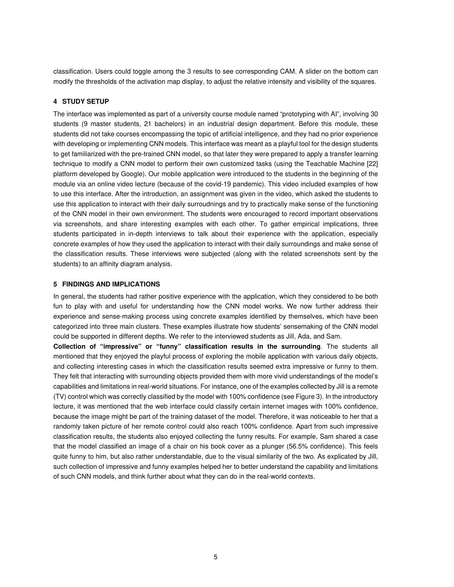classification. Users could toggle among the 3 results to see corresponding CAM. A slider on the bottom can modify the thresholds of the activation map display, to adjust the relative intensity and visibility of the squares.

### **4 STUDY SETUP**

The interface was implemented as part of a university course module named "prototyping with AI", involving 30 students (9 master students, 21 bachelors) in an industrial design department. Before this module, these students did not take courses encompassing the topic of artificial intelligence, and they had no prior experience with developing or implementing CNN models. This interface was meant as a playful tool for the design students to get familiarized with the pre-trained CNN model, so that later they were prepared to apply a transfer learning technique to modify a CNN model to perform their own customized tasks (using the Teachable Machine [22] platform developed by Google). Our mobile application were introduced to the students in the beginning of the module via an online video lecture (because of the covid-19 pandemic). This video included examples of how to use this interface. After the introduction, an assignment was given in the video, which asked the students to use this application to interact with their daily surroudnings and try to practically make sense of the functioning of the CNN model in their own environment. The students were encouraged to record important observations via screenshots, and share interesting examples with each other. To gather empirical implications, three students participated in in-depth interviews to talk about their experience with the application, especially concrete examples of how they used the application to interact with their daily surroundings and make sense of the classification results. These interviews were subjected (along with the related screenshots sent by the students) to an affinity diagram analysis.

#### **5 FINDINGS AND IMPLICATIONS**

In general, the students had rather positive experience with the application, which they considered to be both fun to play with and useful for understanding how the CNN model works. We now further address their experience and sense-making process using concrete examples identified by themselves, which have been categorized into three main clusters. These examples illustrate how students' sensemaking of the CNN model could be supported in different depths. We refer to the interviewed students as Jill, Ada, and Sam.

**Collection of "impressive" or "funny" classification results in the surrounding**. The students all mentioned that they enjoyed the playful process of exploring the mobile application with various daily objects, and collecting interesting cases in which the classification results seemed extra impressive or funny to them. They felt that interacting with surrounding objects provided them with more vivid understandings of the model's capabilities and limitations in real-world situations. For instance, one of the examples collected by Jill is a remote (TV) control which was correctly classified by the model with 100% confidence (see Figure 3). In the introductory lecture, it was mentioned that the web interface could classify certain internet images with 100% confidence, because the image might be part of the training dataset of the model. Therefore, it was noticeable to her that a randomly taken picture of her remote control could also reach 100% confidence. Apart from such impressive classification results, the students also enjoyed collecting the funny results. For example, Sam shared a case that the model classified an image of a chair on his book cover as a plunger (56.5% confidence). This feels quite funny to him, but also rather understandable, due to the visual similarity of the two. As explicated by Jill, such collection of impressive and funny examples helped her to better understand the capability and limitations of such CNN models, and think further about what they can do in the real-world contexts.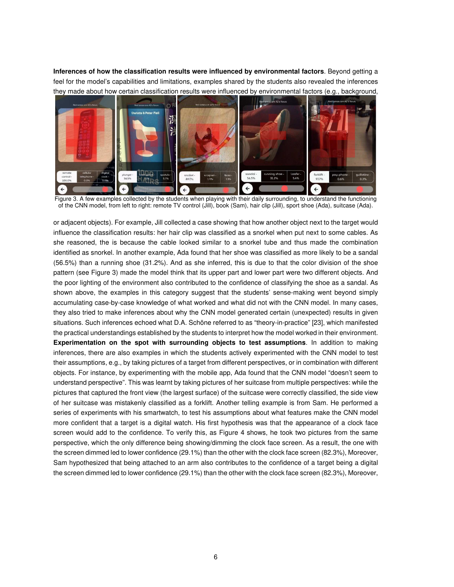**Inferences of how the classification results were influenced by environmental factors**. Beyond getting a feel for the model's capabilities and limitations, examples shared by the students also revealed the inferences they made about how certain classification results were influenced by environmental factors (e.g., background,



 Figure 3. A few examples collected by the students when playing with their daily surrounding, to understand the functioning of the CNN model, from left to right: remote TV control (Jill), book (Sam), hair clip (Jill), sport shoe (Ada), suitcase (Ada).

or adjacent objects). For example, Jill collected a case showing that how another object next to the target would influence the classification results: her hair clip was classified as a snorkel when put next to some cables. As she reasoned, the is because the cable looked similar to a snorkel tube and thus made the combination identified as snorkel. In another example, Ada found that her shoe was classified as more likely to be a sandal (56.5%) than a running shoe (31.2%). And as she inferred, this is due to that the color division of the shoe pattern (see Figure 3) made the model think that its upper part and lower part were two different objects. And the poor lighting of the environment also contributed to the confidence of classifying the shoe as a sandal. As shown above, the examples in this category suggest that the students' sense-making went beyond simply accumulating case-by-case knowledge of what worked and what did not with the CNN model. In many cases, they also tried to make inferences about why the CNN model generated certain (unexpected) results in given situations. Such inferences echoed what D.A. Schöne referred to as "theory-in-practice" [23], which manifested the practical understandings established by the students to interpret how the model worked in their environment. **Experimentation on the spot with surrounding objects to test assumptions**. In addition to making inferences, there are also examples in which the students actively experimented with the CNN model to test their assumptions, e.g., by taking pictures of a target from different perspectives, or in combination with different objects. For instance, by experimenting with the mobile app, Ada found that the CNN model "doesn't seem to understand perspective". This was learnt by taking pictures of her suitcase from multiple perspectives: while the pictures that captured the front view (the largest surface) of the suitcase were correctly classified, the side view of her suitcase was mistakenly classified as a forklift. Another telling example is from Sam. He performed a series of experiments with his smartwatch, to test his assumptions about what features make the CNN model more confident that a target is a digital watch. His first hypothesis was that the appearance of a clock face screen would add to the confidence. To verify this, as Figure 4 shows, he took two pictures from the same perspective, which the only difference being showing/dimming the clock face screen. As a result, the one with the screen dimmed led to lower confidence (29.1%) than the other with the clock face screen (82.3%), Moreover, Sam hypothesized that being attached to an arm also contributes to the confidence of a target being a digital the screen dimmed led to lower confidence (29.1%) than the other with the clock face screen (82.3%), Moreover,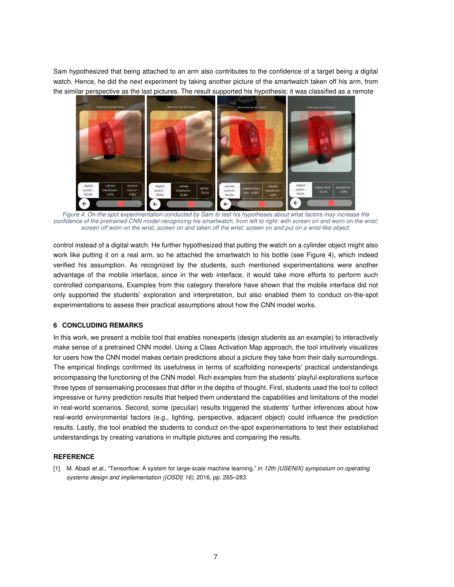Sam hypothesized that being attached to an arm also contributes to the confidence of a target being a digital watch. Hence, he did the next experiment by taking another picture of the smartwatch taken off his arm, from the similar perspective as the last pictures. The result supported his hypothesis: it was classified as a remote



 *Figure 4. On-the-spot experimentation conducted by Sam to test his hypotheses about what factors may increase the confidence of the pretrained CNN model recognizing his smartwatch, from left to right: with screen on and worn on the wrist; screen off worn on the wrist, screen on and taken off the wrist, screen on and put on a wrist-like object.* 

control instead of a digital watch. He further hypothesized that putting the watch on a cylinder object might also work like putting it on a real arm, so he attached the smartwatch to his bottle (see Figure 4), which indeed verified his assumption. As recognized by the students, such mentioned experimentations were another advantage of the mobile interface, since in the web interface, it would take more efforts to perform such controlled comparisons, Examples from this category therefore have shown that the mobile interface did not only supported the students' exploration and interpretation, but also enabled them to conduct on-the-spot experimentations to assess their practical assumptions about how the CNN model works.

#### **6 CONCLUDING REMARKS**

In this work, we present a mobile tool that enables nonexperts (design students as an example) to interactively make sense of a pretrained CNN model. Using a Class Activation Map approach, the tool intuitively visualizes for users how the CNN model makes certain predictions about a picture they take from their daily surroundings. The empirical findings confirmed its usefulness in terms of scaffolding nonexperts' practical understandings encompassing the functioning of the CNN model. Rich examples from the students' playful explorations surface three types of sensemaking processes that differ in the depths of thought. First, students used the tool to collect impressive or funny prediction results that helped them understand the capabilities and limitations of the model in real-world scenarios. Second, some (peculiar) results triggered the students' further inferences about how real-world environmental factors (e.g., lighting, perspective, adjacent object) could influence the prediction results. Lastly, the tool enabled the students to conduct on-the-spot experimentations to test their established understandings by creating variations in multiple pictures and comparing the results.

### **REFERENCE**

[1] M. Abadi *et al.*, "Tensorflow: A system for large-scale machine learning," in *12th {USENIX} symposium on operating systems design and implementation ({OSDI} 16)*, 2016, pp. 265–283.